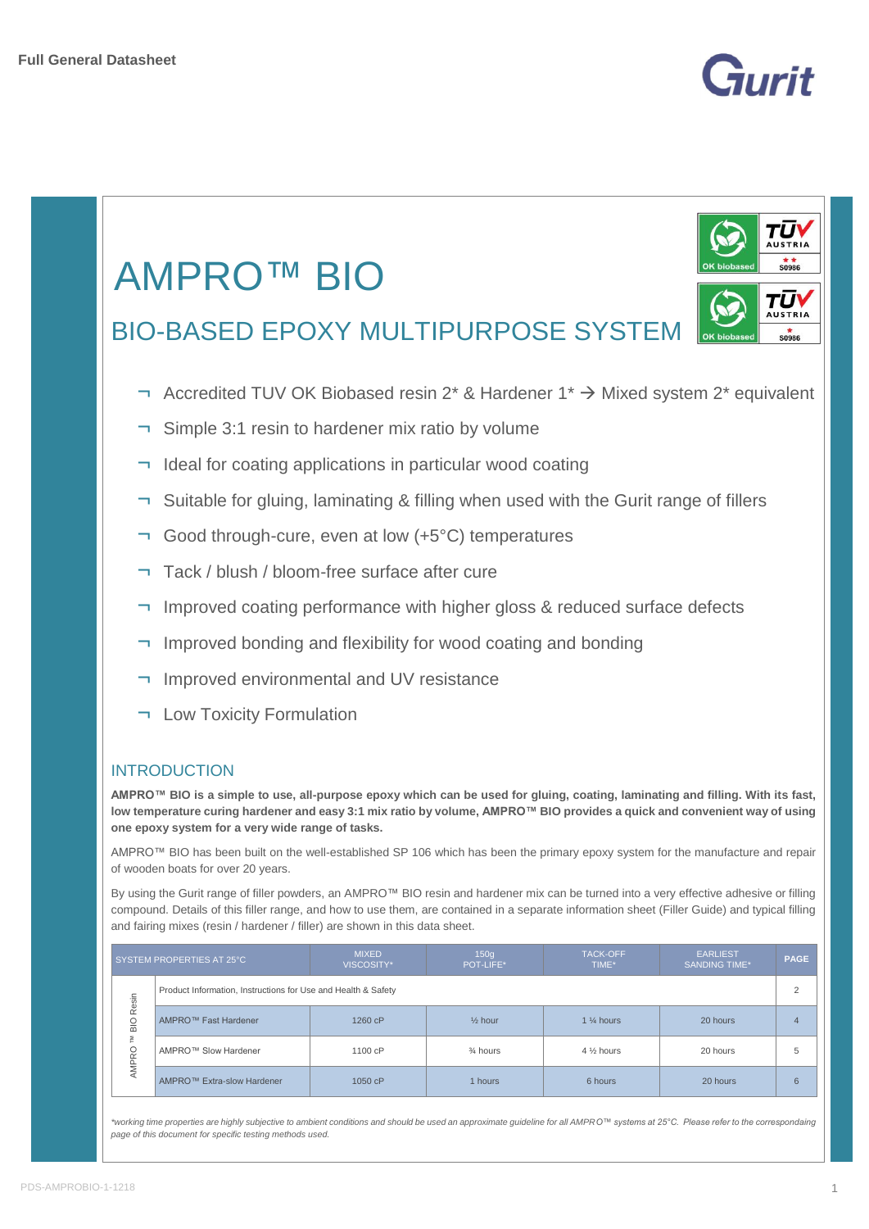



*\*working time properties are highly subjective to ambient conditions and should be used an approximate guideline for all AMPRO™ systems at 25°C. Please refer to the correspondaing page of this document for specific testing methods used.*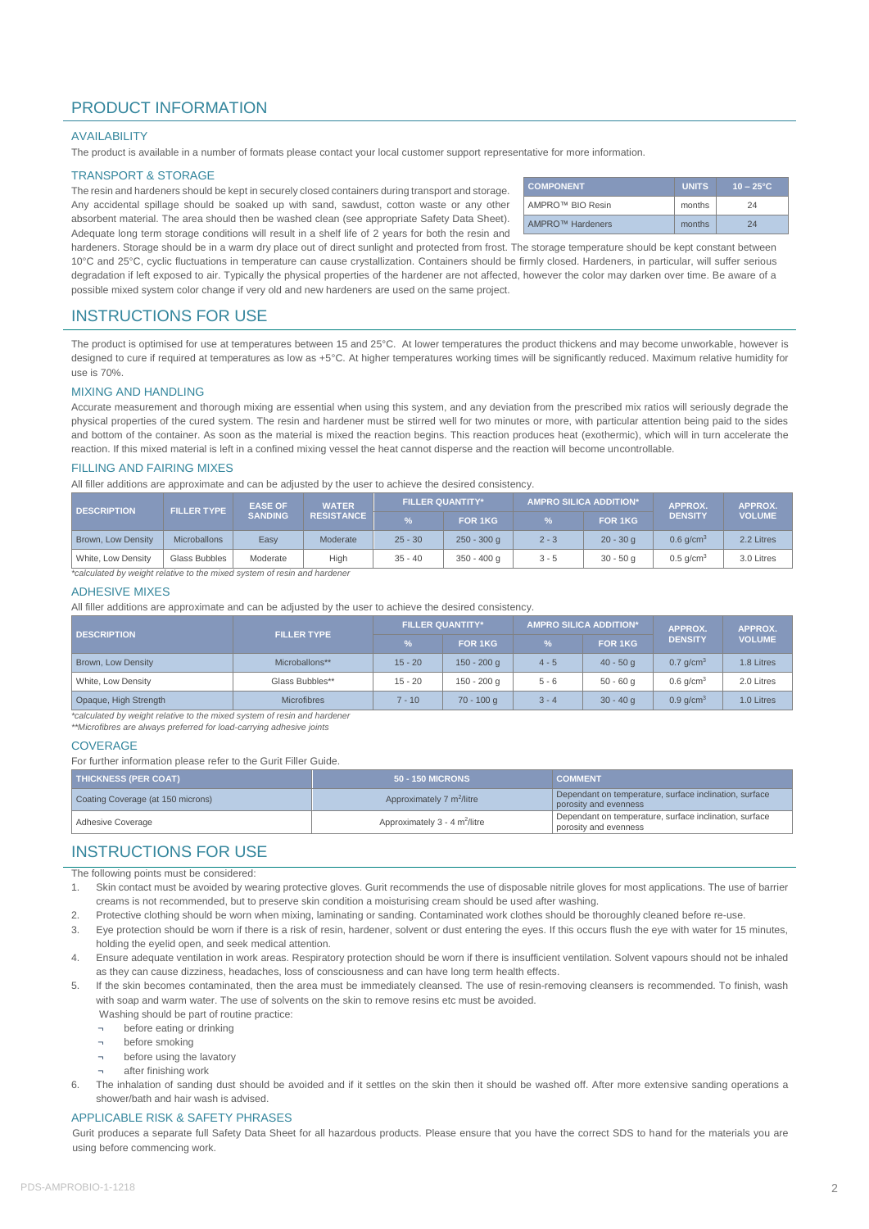# PRODUCT INFORMATION

#### AVAILABILITY

The product is available in a number of formats please contact your local customer support representative for more information.

#### TRANSPORT & STORAGE

The resin and hardeners should be kept in securely closed containers during transport and storage. Any accidental spillage should be soaked up with sand, sawdust, cotton waste or any other absorbent material. The area should then be washed clean (see appropriate Safety Data Sheet). Adequate long term storage conditions will result in a shelf life of 2 years for both the resin and

| <b>COMPONENT</b> | <b>UNITS</b> | $10 - 25^{\circ}$ C |
|------------------|--------------|---------------------|
| AMPRO™ BIO Resin | months       | 24                  |
| AMPRO™ Hardeners | months       | 24                  |

hardeners. Storage should be in a warm dry place out of direct sunlight and protected from frost. The storage temperature should be kept constant between 10°C and 25°C, cyclic fluctuations in temperature can cause crystallization. Containers should be firmly closed. Hardeners, in particular, will suffer serious degradation if left exposed to air. Typically the physical properties of the hardener are not affected, however the color may darken over time. Be aware of a possible mixed system color change if very old and new hardeners are used on the same project.

### INSTRUCTIONS FOR USE

The product is optimised for use at temperatures between 15 and 25°C. At lower temperatures the product thickens and may become unworkable, however is designed to cure if required at temperatures as low as +5°C. At higher temperatures working times will be significantly reduced. Maximum relative humidity for use is 70%.

#### MIXING AND HANDLING

Accurate measurement and thorough mixing are essential when using this system, and any deviation from the prescribed mix ratios will seriously degrade the physical properties of the cured system. The resin and hardener must be stirred well for two minutes or more, with particular attention being paid to the sides and bottom of the container. As soon as the material is mixed the reaction begins. This reaction produces heat (exothermic), which will in turn accelerate the reaction. If this mixed material is left in a confined mixing vessel the heat cannot disperse and the reaction will become uncontrollable.

#### FILLING AND FAIRING MIXES

All filler additions are approximate and can be adjusted by the user to achieve the desired consistency.

| <b>DESCRIPTION</b>        | <b>FILLER TYPE</b>  | <b>EASE OF</b>    | <b>WATER</b> |           | <b>FILLER QUANTITY*</b> |         | <b>AMPRO SILICA ADDITION*</b> |                         | <b>APPROX.</b> |
|---------------------------|---------------------|-------------------|--------------|-----------|-------------------------|---------|-------------------------------|-------------------------|----------------|
|                           | <b>SANDING</b>      | <b>RESISTANCE</b> |              | FOR 1KG   | $\%$                    | FOR 1KG | <b>DENSITY</b>                | <b>VOLUME</b>           |                |
| <b>Brown, Low Density</b> | <b>Microballons</b> | Easv              | Moderate     | $25 - 30$ | $250 - 300$ q           | $2 - 3$ | $20 - 30q$                    | $0.6$ g/cm <sup>3</sup> | 2.2 Litres     |
| White, Low Density        | Glass Bubbles       | Moderate          | High         | $35 - 40$ | $350 - 400$ q           | $3 - 5$ | $30 - 50q$                    | $0.5$ g/cm <sup>3</sup> | 3.0 Litres     |

<sup>\*</sup>calculated by weight relative to the mixed system of resin and hardener

#### ADHESIVE MIXES

All filler additions are approximate and can be adjusted by the user to achieve the desired consistency.

| <b>DESCRIPTION</b>    | <b>FILLER TYPE</b> | <b>FILLER QUANTITY*</b> |               | <b>AMPRO SILICA ADDITION*</b> |                | APPROX.                 | APPROX.       |
|-----------------------|--------------------|-------------------------|---------------|-------------------------------|----------------|-------------------------|---------------|
|                       |                    | $\%$                    | FOR 1KG       | $\frac{9}{6}$                 | <b>FOR 1KG</b> | <b>DENSITY</b>          | <b>VOLUME</b> |
| Brown, Low Density    | Microballons**     | $15 - 20$               | $150 - 200$ q | $4 - 5$                       | $40 - 50q$     | $0.7$ g/cm <sup>3</sup> | 1.8 Litres    |
| White, Low Density    | Glass Bubbles**    | $15 - 20$               | 150 - 200 g   | $5 - 6$                       | $50 - 60q$     | $0.6$ g/cm <sup>3</sup> | 2.0 Litres    |
| Opaque, High Strength | <b>Microfibres</b> | $7 - 10$                | $70 - 100$ g  | $3 - 4$                       | $30 - 40q$     | $0.9$ q/cm <sup>3</sup> | 1.0 Litres    |

*\*calculated by weight relative to the mixed system of resin and hardener \*\*Microfibres are always preferred for load-carrying adhesive joints*

#### **COVERAGE**

For further information please refer to the Gurit Filler Guide.

| <b>THICKNESS (PER COAT)</b>       | <b>50 - 150 MICRONS</b>                     | <b>COMMENT</b>                                                                  |
|-----------------------------------|---------------------------------------------|---------------------------------------------------------------------------------|
| Coating Coverage (at 150 microns) | Approximately 7 m <sup>2</sup> /litre       | Dependant on temperature, surface inclination, surface<br>porosity and evenness |
| Adhesive Coverage                 | Approximately $3 - 4$ m <sup>2</sup> /litre | Dependant on temperature, surface inclination, surface<br>porosity and evenness |

### INSTRUCTIONS FOR USE

The following points must be considered:

- 1. Skin contact must be avoided by wearing protective gloves. Gurit recommends the use of disposable nitrile gloves for most applications. The use of barrier creams is not recommended, but to preserve skin condition a moisturising cream should be used after washing.
- 2. Protective clothing should be worn when mixing, laminating or sanding. Contaminated work clothes should be thoroughly cleaned before re-use.
- 3. Eye protection should be worn if there is a risk of resin, hardener, solvent or dust entering the eyes. If this occurs flush the eye with water for 15 minutes, holding the eyelid open, and seek medical attention.
- 4. Ensure adequate ventilation in work areas. Respiratory protection should be worn if there is insufficient ventilation. Solvent vapours should not be inhaled as they can cause dizziness, headaches, loss of consciousness and can have long term health effects.
- 5. If the skin becomes contaminated, then the area must be immediately cleansed. The use of resin-removing cleansers is recommended. To finish, wash with soap and warm water. The use of solvents on the skin to remove resins etc must be avoided.
	- Washing should be part of routine practice:
		- before eating or drinking
		- ¬ before smoking
	- before using the lavatory
	- after finishing work
- 6. The inhalation of sanding dust should be avoided and if it settles on the skin then it should be washed off. After more extensive sanding operations a shower/bath and hair wash is advised.

#### APPLICABLE RISK & SAFETY PHRASES

Gurit produces a separate full Safety Data Sheet for all hazardous products. Please ensure that you have the correct SDS to hand for the materials you are using before commencing work.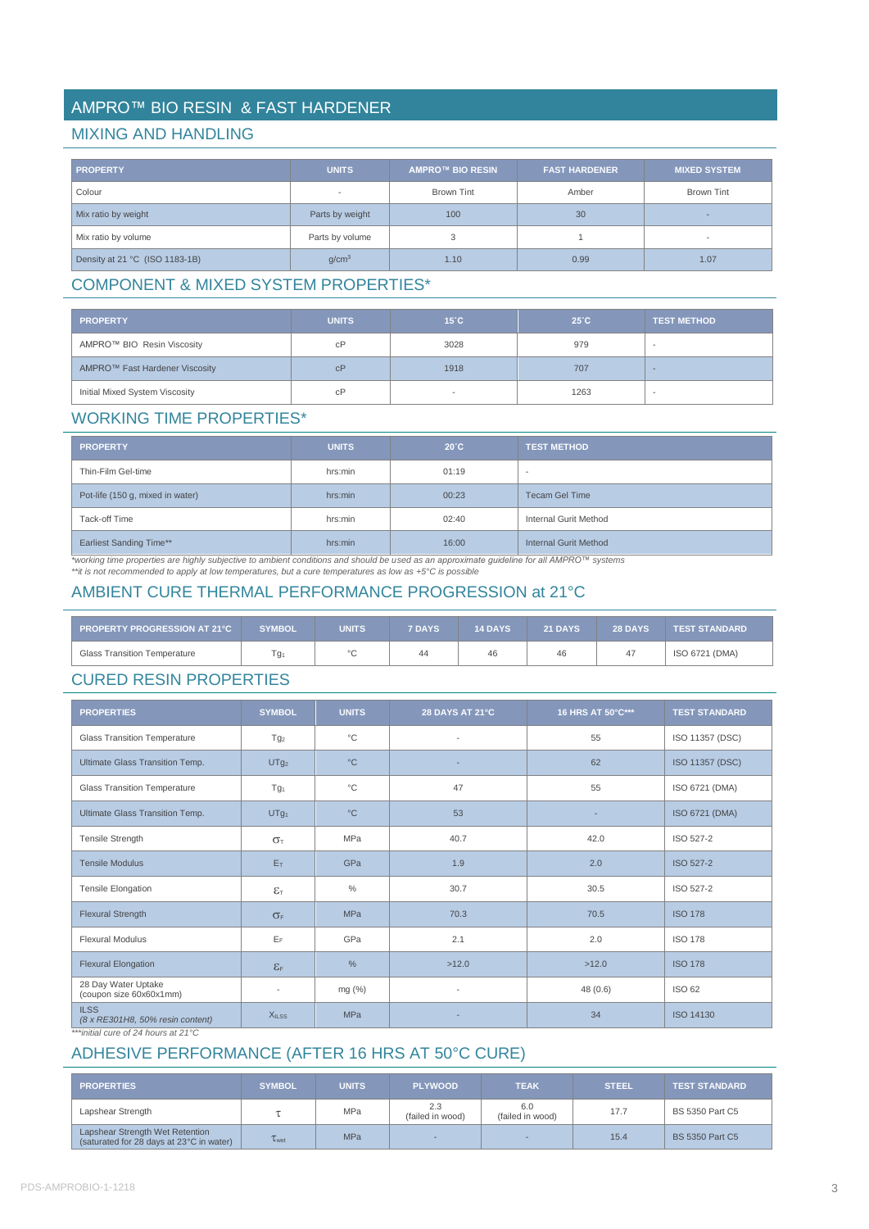# AMPRO™ BIO RESIN & FAST HARDENER

## MIXING AND HANDLING

| <b>PROPERTY</b>                | <b>UNITS</b>      | <b>AMPRO™ BIO RESIN</b> | <b>FAST HARDENER</b> | <b>MIXED SYSTEM</b>      |
|--------------------------------|-------------------|-------------------------|----------------------|--------------------------|
| Colour                         |                   | <b>Brown Tint</b>       | Amber                | <b>Brown Tint</b>        |
| Mix ratio by weight            | Parts by weight   | 100                     | 30                   | -                        |
| Mix ratio by volume            | Parts by volume   |                         |                      | $\overline{\phantom{a}}$ |
| Density at 21 °C (ISO 1183-1B) | q/cm <sup>3</sup> | 1.10                    | 0.99                 | 1.07                     |

# COMPONENT & MIXED SYSTEM PROPERTIES\*

| <b>PROPERTY</b>                | <b>UNITS</b> | $15^{\circ}$ C | $25^{\circ}$ C | <b>TEST METHOD</b>       |
|--------------------------------|--------------|----------------|----------------|--------------------------|
| AMPRO™ BIO Resin Viscosity     | сP           | 3028           | 979            | $\sim$                   |
| AMPRO™ Fast Hardener Viscosity | cP           | 1918           | 707            |                          |
| Initial Mixed System Viscosity | сP           |                | 1263           | $\overline{\phantom{a}}$ |

## WORKING TIME PROPERTIES\*

| <b>PROPERTY</b>                  | <b>UNITS</b> | $20^{\circ}$ C | <b>TEST METHOD</b>    |
|----------------------------------|--------------|----------------|-----------------------|
| Thin-Film Gel-time               | hrs:min      | 01:19          | . .                   |
| Pot-life (150 g, mixed in water) | hrs:min      | 00:23          | <b>Tecam Gel Time</b> |
| Tack-off Time                    | hrs:min      | 02:40          | Internal Gurit Method |
| <b>Earliest Sanding Time**</b>   | hrs:min      | 16:00          | Internal Gurit Method |

\*working time properties are highly subjective to ambient conditions and should be used as an approximate guideline for all AMPRO™ systems<br>\*\*it is not recommended to apply at low temperatures, but a cure temperatures as l

# AMBIENT CURE THERMAL PERFORMANCE PROGRESSION at 21°C

| <b>PROPERTY PROGRESSION AT 21°C</b> | <b>SYMBOL</b> | <b>UNITS</b> | <b>7 DAYS</b> | <b>14 DAYS</b> | 21 DAYS | <b>28 DAYS</b> | <b>TEST STANDARD</b> |
|-------------------------------------|---------------|--------------|---------------|----------------|---------|----------------|----------------------|
| <b>Glass Transition Temperature</b> | Гg1           | $\sim$       | 44            | 46             | 46      |                | ISO 6721 (DMA)       |

# CURED RESIN PROPERTIES

| <b>PROPERTIES</b>                               | <b>SYMBOL</b>                  | <b>UNITS</b> | <b>28 DAYS AT 21°C</b>   | 16 HRS AT 50°C*** | <b>TEST STANDARD</b> |
|-------------------------------------------------|--------------------------------|--------------|--------------------------|-------------------|----------------------|
| <b>Glass Transition Temperature</b>             | Tg <sub>2</sub>                | $^{\circ}C$  | $\overline{\phantom{a}}$ | 55                | ISO 11357 (DSC)      |
| Ultimate Glass Transition Temp.                 | UTg <sub>2</sub>               | $^{\circ}C$  | ٠                        | 62                | ISO 11357 (DSC)      |
| <b>Glass Transition Temperature</b>             | Tg <sub>1</sub>                | $^{\circ}C$  | 47                       | 55                | ISO 6721 (DMA)       |
| Ultimate Glass Transition Temp.                 | UTg <sub>1</sub>               | $^{\circ}C$  | 53                       |                   | ISO 6721 (DMA)       |
| Tensile Strength                                | $\sigma$                       | <b>MPa</b>   | 40.7                     | 42.0              | ISO 527-2            |
| <b>Tensile Modulus</b>                          | E <sub>T</sub>                 | GPa          | 1.9                      | 2.0               | <b>ISO 527-2</b>     |
| <b>Tensile Elongation</b>                       | $\varepsilon_{\text{\tiny T}}$ | $\%$         | 30.7                     | 30.5              | ISO 527-2            |
| <b>Flexural Strength</b>                        | $\sigma_F$                     | <b>MPa</b>   | 70.3                     | 70.5              | <b>ISO 178</b>       |
| <b>Flexural Modulus</b>                         | EF                             | GPa          | 2.1                      | 2.0               | <b>ISO 178</b>       |
| <b>Flexural Elongation</b>                      | $\epsilon$ <sub>F</sub>        | $\%$         | >12.0                    | >12.0             | <b>ISO 178</b>       |
| 28 Day Water Uptake<br>(coupon size 60x60x1mm)  |                                | mg (%)       | $\overline{\phantom{a}}$ | 48(0.6)           | <b>ISO 62</b>        |
| <b>ILSS</b><br>(8 x RE301H8, 50% resin content) | <b>XILSS</b>                   | <b>MPa</b>   | ٠                        | 34                | ISO 14130            |

*\*\*\*initial cure of 24 hours at 21°C*

# ADHESIVE PERFORMANCE (AFTER 16 HRS AT 50°C CURE)

| <b>PROPERTIES</b>                                                           | <b>SYMBOL</b>       | <b>UNITS</b> | <b>PLYWOOD</b>          | <b>TEAK</b>             | <b>STEEL</b> | <b>TEST STANDARD</b> ' |
|-----------------------------------------------------------------------------|---------------------|--------------|-------------------------|-------------------------|--------------|------------------------|
| Lapshear Strength                                                           |                     | <b>MPa</b>   | 2.3<br>(failed in wood) | 6.0<br>(failed in wood) | 17.7         | BS 5350 Part C5        |
| Lapshear Strength Wet Retention<br>(saturated for 28 days at 23°C in water) | $\tau_{\text{wet}}$ | <b>MPa</b>   |                         |                         | 15.4         | <b>BS 5350 Part C5</b> |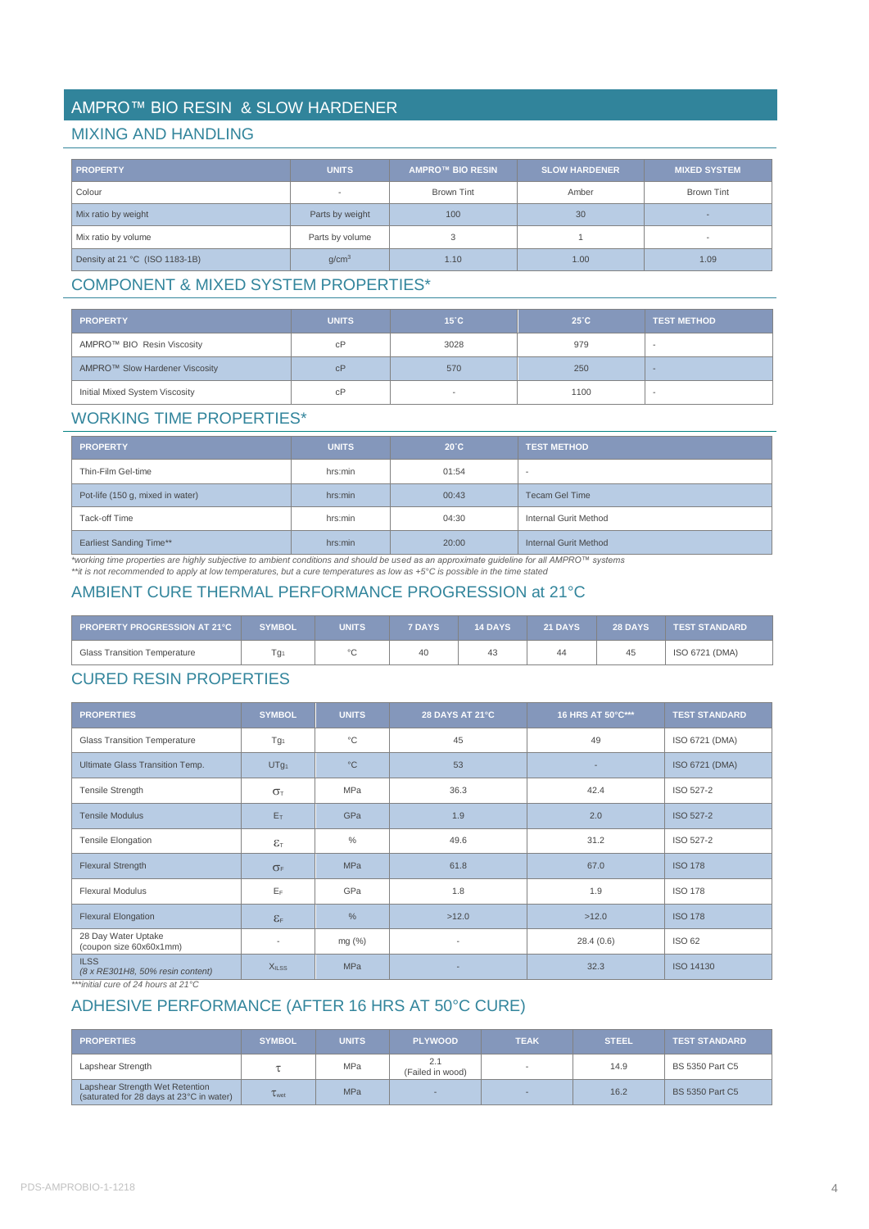# AMPRO™ BIO RESIN & SLOW HARDENER

## MIXING AND HANDLING

| <b>PROPERTY</b>                | <b>UNITS</b>      | <b>AMPRO™ BIO RESIN</b> | <b>SLOW HARDENER</b> | <b>MIXED SYSTEM</b> |
|--------------------------------|-------------------|-------------------------|----------------------|---------------------|
| Colour                         |                   | <b>Brown Tint</b>       | Amber                | Brown Tint          |
| Mix ratio by weight            | Parts by weight   | 100                     | 30                   |                     |
| Mix ratio by volume            | Parts by volume   |                         |                      |                     |
| Density at 21 °C (ISO 1183-1B) | q/cm <sup>3</sup> | 1.10                    | 1.00                 | 1.09                |

# COMPONENT & MIXED SYSTEM PROPERTIES\*

| <b>PROPERTY</b>                | <b>UNITS</b> | $15^{\circ}$ C | $25^{\circ}$ C | <b>TEST METHOD</b>       |
|--------------------------------|--------------|----------------|----------------|--------------------------|
| AMPRO™ BIO Resin Viscosity     | cP           | 3028           | 979            | $\overline{\phantom{a}}$ |
| AMPRO™ Slow Hardener Viscosity | cP           | 570            | 250            |                          |
| Initial Mixed System Viscosity | cP           |                | 1100           |                          |

# WORKING TIME PROPERTIES\*

| <b>PROPERTY</b>                  | <b>UNITS</b> | $20^{\circ}$ C | <b>TEST METHOD</b>       |
|----------------------------------|--------------|----------------|--------------------------|
| Thin-Film Gel-time               | hrs:min      | 01:54          | $\overline{\phantom{a}}$ |
| Pot-life (150 g, mixed in water) | hrs:min      | 00:43          | <b>Tecam Gel Time</b>    |
| Tack-off Time                    | hrs:min      | 04:30          | Internal Gurit Method    |
| <b>Earliest Sanding Time**</b>   | hrs:min      | 20:00          | Internal Gurit Method    |

*\*working time properties are highly subjective to ambient conditions and should be used as an approximate guideline for all AMPRO™ systems \*\*it is not recommended to apply at low temperatures, but a cure temperatures as low as +5°C is possible in the time stated*

## AMBIENT CURE THERMAL PERFORMANCE PROGRESSION at 21°C

| <b>PROPERTY PROGRESSION AT 21°C</b> | <b>SYMBOL</b> | <b>UNITS</b> | <b>7 DAYS</b> | <b>14 DAYS</b> | <b>21 DAYS</b> | <b>28 DAYS</b> | <b>TEST STANDARD</b> |
|-------------------------------------|---------------|--------------|---------------|----------------|----------------|----------------|----------------------|
| <b>Glass Transition Temperature</b> | $Tg_1$        | $\circ$      | 40            |                | 44             | 45             | ISO 6721 (DMA)       |

# CURED RESIN PROPERTIES

| <b>PROPERTIES</b>                               | <b>SYMBOL</b>                | <b>UNITS</b> | <b>28 DAYS AT 21°C</b> | 16 HRS AT 50°C*** | <b>TEST STANDARD</b> |
|-------------------------------------------------|------------------------------|--------------|------------------------|-------------------|----------------------|
| <b>Glass Transition Temperature</b>             | Tg <sub>1</sub>              | $^{\circ}C$  | 45                     | 49                | ISO 6721 (DMA)       |
| Ultimate Glass Transition Temp.                 | UTg <sub>1</sub>             | $^{\circ}C$  | 53                     |                   | ISO 6721 (DMA)       |
| Tensile Strength                                | $\sigma_{\text{t}}$          | <b>MPa</b>   | 36.3                   | 42.4              | ISO 527-2            |
| <b>Tensile Modulus</b>                          | E <sub>T</sub>               | GPa          | 1.9                    | 2.0               | <b>ISO 527-2</b>     |
| <b>Tensile Elongation</b>                       | $\epsilon_{\text{\tiny T}}$  | $\%$         | 49.6                   | 31.2              | ISO 527-2            |
| <b>Flexural Strength</b>                        | $\sigma_F$                   | <b>MPa</b>   | 61.8                   | 67.0              | <b>ISO 178</b>       |
| <b>Flexural Modulus</b>                         | EF                           | GPa          | 1.8                    | 1.9               | <b>ISO 178</b>       |
| <b>Flexural Elongation</b>                      | $\epsilon_{\text{\tiny{F}}}$ | $\%$         | >12.0                  | >12.0             | <b>ISO 178</b>       |
| 28 Day Water Uptake<br>(coupon size 60x60x1mm)  | $\overline{\phantom{a}}$     | mg (%)       | ٠                      | 28.4(0.6)         | <b>ISO 62</b>        |
| <b>ILSS</b><br>(8 x RE301H8, 50% resin content) | X <sub>ILSS</sub>            | <b>MPa</b>   |                        | 32.3              | <b>ISO 14130</b>     |

*\*\*\*initial cure of 24 hours at 21°C*

## ADHESIVE PERFORMANCE (AFTER 16 HRS AT 50°C CURE)

| <b>PROPERTIES</b>                                                           | <b>SYMBOL</b>       | <b>UNITS</b> | <b>PLYWOOD</b>          | <b>TEAK</b> | <b>STEEL</b> | <b>TEST STANDARD'</b>  |
|-----------------------------------------------------------------------------|---------------------|--------------|-------------------------|-------------|--------------|------------------------|
| Lapshear Strength                                                           |                     | MPa          | 2.1<br>(Failed in wood) |             | 14.9         | <b>BS 5350 Part C5</b> |
| Lapshear Strength Wet Retention<br>(saturated for 28 days at 23°C in water) | $\tau_{\text{wet}}$ | MPa          |                         | -           | 16.2         | <b>BS 5350 Part C5</b> |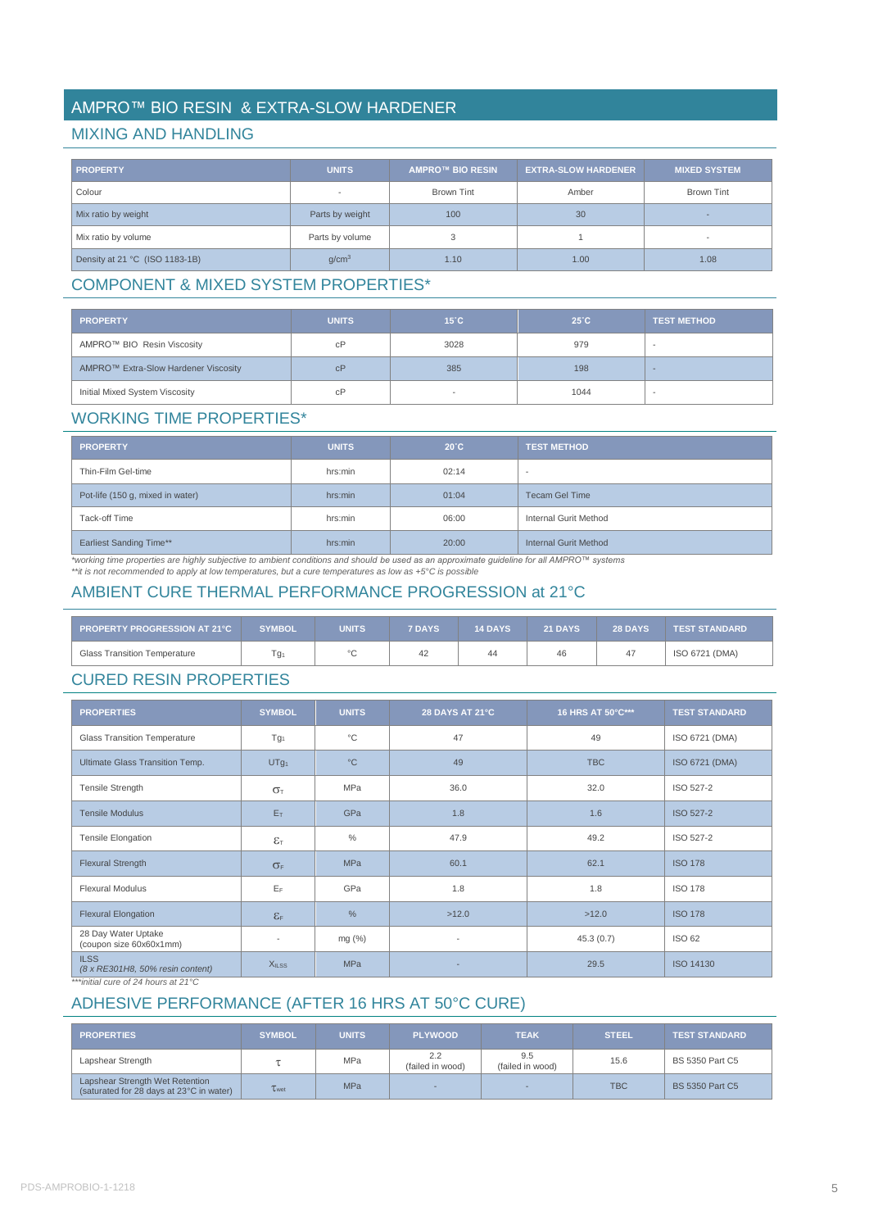# AMPRO™ BIO RESIN & EXTRA-SLOW HARDENER

## MIXING AND HANDLING

| <b>PROPERTY</b>                | <b>UNITS</b>      | <b>AMPRO™ BIO RESIN</b> | <b>EXTRA-SLOW HARDENER</b> | MIXED SYSTEM '           |
|--------------------------------|-------------------|-------------------------|----------------------------|--------------------------|
| Colour                         |                   | <b>Brown Tint</b>       | Amber                      | <b>Brown Tint</b>        |
| Mix ratio by weight            | Parts by weight   | 100                     | 30                         |                          |
| Mix ratio by volume            | Parts by volume   |                         |                            | $\overline{\phantom{a}}$ |
| Density at 21 °C (ISO 1183-1B) | q/cm <sup>3</sup> | 1.10                    | 1.00                       | 1.08                     |

# COMPONENT & MIXED SYSTEM PROPERTIES\*

| <b>PROPERTY</b>                      | <b>UNITS</b> | $15^{\circ}$ C | $25^{\circ}$ C | <b>TEST METHOD</b>       |
|--------------------------------------|--------------|----------------|----------------|--------------------------|
| AMPRO™ BIO Resin Viscosity           | сP           | 3028           | 979            | $\sim$                   |
| AMPRO™ Extra-Slow Hardener Viscosity | cP           | 385            | 198            |                          |
| Initial Mixed System Viscosity       | сP           |                | 1044           | $\overline{\phantom{a}}$ |

## WORKING TIME PROPERTIES\*

| <b>PROPERTY</b>                  | <b>UNITS</b> | $20^{\circ}$ C | <b>TEST METHOD</b>    |
|----------------------------------|--------------|----------------|-----------------------|
| Thin-Film Gel-time               | hrs:min      | 02:14          |                       |
| Pot-life (150 g, mixed in water) | hrs:min      | 01:04          | <b>Tecam Gel Time</b> |
| Tack-off Time                    | hrs:min      | 06:00          | Internal Gurit Method |
| <b>Earliest Sanding Time**</b>   | hrs:min      | 20:00          | Internal Gurit Method |

\*working time properties are highly subjective to ambient conditions and should be used as an approximate guideline for all AMPRO™ systems<br>\*\*it is not recommended to apply at low temperatures, but a cure temperatures as l

# AMBIENT CURE THERMAL PERFORMANCE PROGRESSION at 21°C

| PROPERTY PROGRESSION AT 21°C        | <b>SYMBOL</b> | UNITS   | <b>7 DAYS</b> | <b>14 DAYS</b> | <b>21 DAYS</b> | <b>28 DAYS</b> | <b>TEST STANDARD</b> |
|-------------------------------------|---------------|---------|---------------|----------------|----------------|----------------|----------------------|
| <b>Glass Transition Temperature</b> | g۱.           | $\circ$ | 42            | 44             | 46             | 47             | ISO 6721 (DMA)       |

# CURED RESIN PROPERTIES

| <b>PROPERTIES</b>                               | <b>SYMBOL</b>                | <b>UNITS</b>  | <b>28 DAYS AT 21°C</b>   | 16 HRS AT 50°C*** | <b>TEST STANDARD</b> |
|-------------------------------------------------|------------------------------|---------------|--------------------------|-------------------|----------------------|
| <b>Glass Transition Temperature</b>             | Tg <sub>1</sub>              | $^{\circ}C$   | 47                       | 49                | ISO 6721 (DMA)       |
| Ultimate Glass Transition Temp.                 | UTg <sub>1</sub>             | $^{\circ}C$   | 49                       | <b>TBC</b>        | ISO 6721 (DMA)       |
| <b>Tensile Strength</b>                         | $\sigma$                     | <b>MPa</b>    | 36.0                     | 32.0              | ISO 527-2            |
| <b>Tensile Modulus</b>                          | E <sub>T</sub>               | GPa           | 1.8                      | 1.6               | ISO 527-2            |
| <b>Tensile Elongation</b>                       | $\epsilon_{\text{\tiny T}}$  | $\%$          | 47.9                     | 49.2              | ISO 527-2            |
| <b>Flexural Strength</b>                        | $\sigma_F$                   | <b>MPa</b>    | 60.1                     | 62.1              | <b>ISO 178</b>       |
| <b>Flexural Modulus</b>                         | EF                           | GPa           | 1.8                      | 1.8               | <b>ISO 178</b>       |
| <b>Flexural Elongation</b>                      | $\epsilon_{\text{\tiny{F}}}$ | $\frac{0}{0}$ | >12.0                    | >12.0             | <b>ISO 178</b>       |
| 28 Day Water Uptake<br>(coupon size 60x60x1mm)  | $\overline{\phantom{a}}$     | mg $(\%)$     | $\overline{\phantom{a}}$ | 45.3(0.7)         | <b>ISO 62</b>        |
| <b>ILSS</b><br>(8 x RE301H8, 50% resin content) | <b>XILSS</b>                 | <b>MPa</b>    |                          | 29.5              | ISO 14130            |

*\*\*\*initial cure of 24 hours at 21°C*

# ADHESIVE PERFORMANCE (AFTER 16 HRS AT 50°C CURE)

| <b>PROPERTIES</b>                                                           | <b>SYMBOL</b> | <b>UNITS</b> | <b>PLYWOOD</b>          | <b>TEAK</b>             | <b>STEEL</b> | <b>TEST STANDARD</b>   |
|-----------------------------------------------------------------------------|---------------|--------------|-------------------------|-------------------------|--------------|------------------------|
| Lapshear Strength                                                           |               | MPa          | 2.2<br>(failed in wood) | 9.5<br>(failed in wood) | 15.6         | BS 5350 Part C5        |
| Lapshear Strength Wet Retention<br>(saturated for 28 days at 23°C in water) | Twet          | MPa          |                         |                         | <b>TBC</b>   | <b>BS 5350 Part C5</b> |